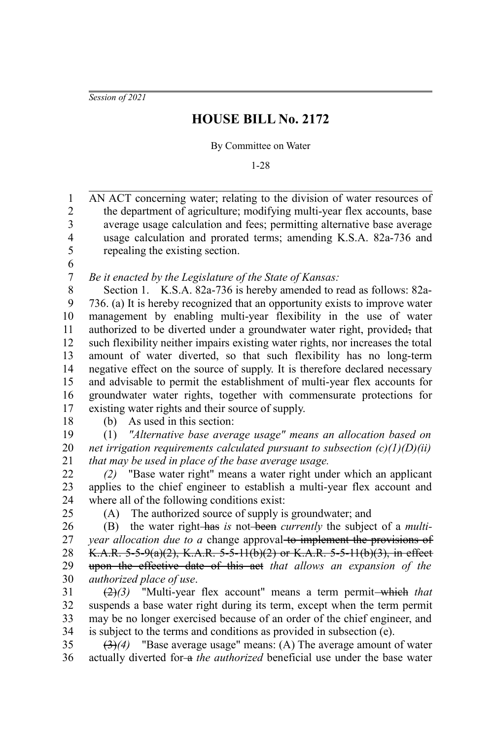*Session of 2021*

## **HOUSE BILL No. 2172**

By Committee on Water

1-28

AN ACT concerning water; relating to the division of water resources of the department of agriculture; modifying multi-year flex accounts, base average usage calculation and fees; permitting alternative base average usage calculation and prorated terms; amending K.S.A. 82a-736 and repealing the existing section. 1 2 3 4 5

6 7

*Be it enacted by the Legislature of the State of Kansas:*

Section 1. K.S.A. 82a-736 is hereby amended to read as follows: 82a-736. (a) It is hereby recognized that an opportunity exists to improve water management by enabling multi-year flexibility in the use of water authorized to be diverted under a groundwater water right, provided, that such flexibility neither impairs existing water rights, nor increases the total amount of water diverted, so that such flexibility has no long-term negative effect on the source of supply. It is therefore declared necessary and advisable to permit the establishment of multi-year flex accounts for groundwater water rights, together with commensurate protections for existing water rights and their source of supply. 8 9 10 11 12 13 14 15 16 17

18

(b) As used in this section:

(1) *"Alternative base average usage" means an allocation based on net irrigation requirements calculated pursuant to subsection (c)(1)(D)(ii) that may be used in place of the base average usage.* 19 20 21

*(2)* "Base water right" means a water right under which an applicant applies to the chief engineer to establish a multi-year flex account and where all of the following conditions exist: 22 23 24

25

(A) The authorized source of supply is groundwater; and

(B) the water right has *is* not been *currently* the subject of a *multiyear allocation due to a* change approval to implement the provisions of K.A.R. 5-5-9(a)(2), K.A.R. 5-5-11(b)(2) or K.A.R. 5-5-11(b)(3), in effect upon the effective date of this act *that allows an expansion of the authorized place of use*. 26 27 28 29 30

 $\left(\frac{2}{3}\right)$  "Multi-year flex account" means a term permit-which that suspends a base water right during its term, except when the term permit may be no longer exercised because of an order of the chief engineer, and is subject to the terms and conditions as provided in subsection (e). 31 32 33 34

(3)*(4)* "Base average usage" means: (A) The average amount of water actually diverted for-a *the authorized* beneficial use under the base water 35 36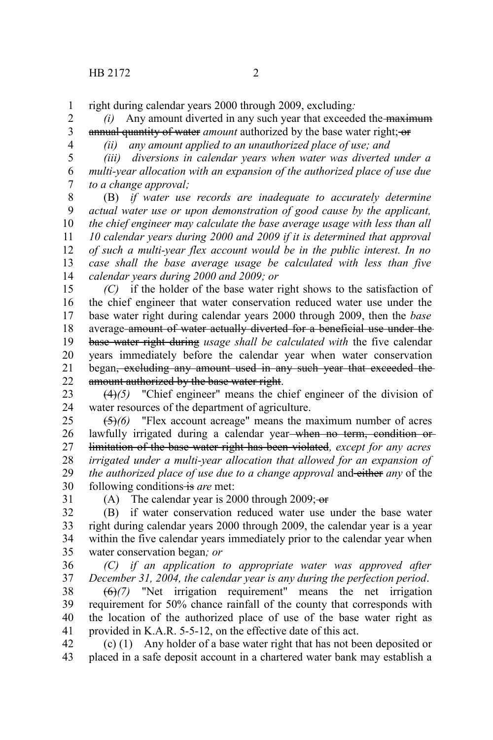right during calendar years 2000 through 2009, excluding*:* 1

*(i)* Any amount diverted in any such year that exceeded the maximum annual quantity of water *amount* authorized by the base water right; or 2 3

4

*(ii) any amount applied to an unauthorized place of use; and*

*(iii) diversions in calendar years when water was diverted under a multi-year allocation with an expansion of the authorized place of use due to a change approval;* 5 6 7

(B) *if water use records are inadequate to accurately determine actual water use or upon demonstration of good cause by the applicant, the chief engineer may calculate the base average usage with less than all 10 calendar years during 2000 and 2009 if it is determined that approval of such a multi-year flex account would be in the public interest. In no case shall the base average usage be calculated with less than five calendar years during 2000 and 2009; or* 8 9 10 11 12 13 14

*(C)* if the holder of the base water right shows to the satisfaction of the chief engineer that water conservation reduced water use under the base water right during calendar years 2000 through 2009, then the *base* average amount of water actually diverted for a beneficial use under the base water right during *usage shall be calculated with* the five calendar years immediately before the calendar year when water conservation began, excluding any amount used in any such year that exceeded the amount authorized by the base water right. 15 16 17 18 19 20 21 22

(4)*(5)* "Chief engineer" means the chief engineer of the division of water resources of the department of agriculture. 23 24

(5)*(6)* "Flex account acreage" means the maximum number of acres lawfully irrigated during a calendar year when no term, condition or limitation of the base water right has been violated*, except for any acres irrigated under a multi-year allocation that allowed for an expansion of the authorized place of use due to a change approval* and either *any* of the following conditions is are met: 25 26 27 28 29 30

31

(A) The calendar year is 2000 through 2009; $\overline{\sigma}$ 

(B) if water conservation reduced water use under the base water right during calendar years 2000 through 2009, the calendar year is a year within the five calendar years immediately prior to the calendar year when water conservation began*; or* 32 33 34 35

*(C) if an application to appropriate water was approved after December 31, 2004, the calendar year is any during the perfection period*. 36 37

(6)*(7)* "Net irrigation requirement" means the net irrigation requirement for 50% chance rainfall of the county that corresponds with the location of the authorized place of use of the base water right as provided in K.A.R. 5-5-12, on the effective date of this act. 38 39 40 41

(c) (1) Any holder of a base water right that has not been deposited or placed in a safe deposit account in a chartered water bank may establish a 42 43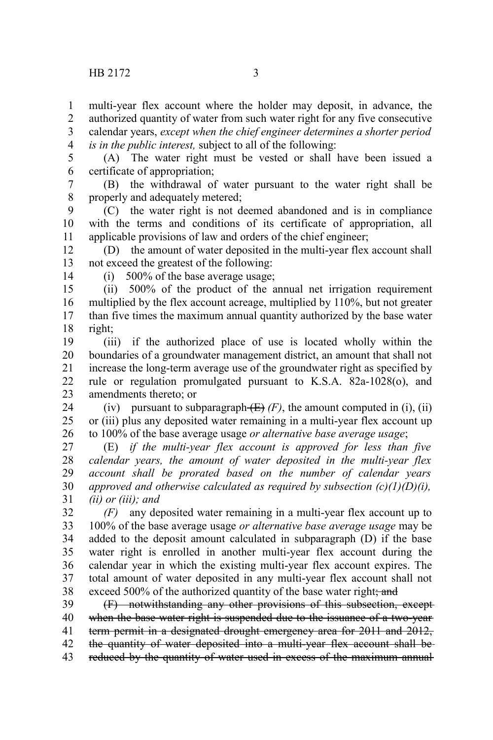multi-year flex account where the holder may deposit, in advance, the 1

authorized quantity of water from such water right for any five consecutive calendar years, *except when the chief engineer determines a shorter period* 2 3

*is in the public interest,* subject to all of the following: 4

(A) The water right must be vested or shall have been issued a certificate of appropriation; 5 6

(B) the withdrawal of water pursuant to the water right shall be properly and adequately metered; 7 8

(C) the water right is not deemed abandoned and is in compliance with the terms and conditions of its certificate of appropriation, all applicable provisions of law and orders of the chief engineer; 9 10 11

(D) the amount of water deposited in the multi-year flex account shall not exceed the greatest of the following: 12 13

14

(i) 500% of the base average usage;

(ii) 500% of the product of the annual net irrigation requirement multiplied by the flex account acreage, multiplied by 110%, but not greater than five times the maximum annual quantity authorized by the base water right; 15 16 17 18

(iii) if the authorized place of use is located wholly within the boundaries of a groundwater management district, an amount that shall not increase the long-term average use of the groundwater right as specified by rule or regulation promulgated pursuant to K.S.A. 82a-1028(o), and amendments thereto; or 19 20 21 22 23

(iv) pursuant to subparagraph  $(E)$  (F), the amount computed in (i), (ii) or (iii) plus any deposited water remaining in a multi-year flex account up to 100% of the base average usage *or alternative base average usage*; 24 25 26

(E) *if the multi-year flex account is approved for less than five calendar years, the amount of water deposited in the multi-year flex account shall be prorated based on the number of calendar years approved and otherwise calculated as required by subsection (c)(1)(D)(i), (ii) or (iii); and* 27 28 29 30 31

*(F)* any deposited water remaining in a multi-year flex account up to 100% of the base average usage *or alternative base average usage* may be added to the deposit amount calculated in subparagraph (D) if the base water right is enrolled in another multi-year flex account during the calendar year in which the existing multi-year flex account expires. The total amount of water deposited in any multi-year flex account shall not exceed 500% of the authorized quantity of the base water right; and 32 33 34 35 36 37 38

(F) notwithstanding any other provisions of this subsection, except when the base water right is suspended due to the issuance of a two-yearterm permit in a designated drought emergency area for 2011 and 2012, the quantity of water deposited into a multi-year flex account shall be reduced by the quantity of water used in excess of the maximum annual 39 40 41 42 43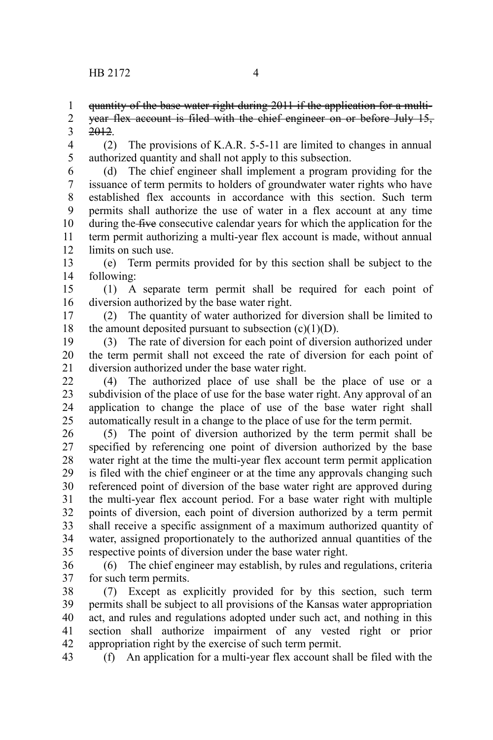quantity of the base water right during 2011 if the application for a multi-1

year flex account is filed with the chief engineer on or before July 15, 2012. 2 3

(2) The provisions of K.A.R. 5-5-11 are limited to changes in annual authorized quantity and shall not apply to this subsection. 4 5

(d) The chief engineer shall implement a program providing for the issuance of term permits to holders of groundwater water rights who have established flex accounts in accordance with this section. Such term permits shall authorize the use of water in a flex account at any time during the five consecutive calendar years for which the application for the term permit authorizing a multi-year flex account is made, without annual limits on such use. 6 7 8 9 10 11 12

(e) Term permits provided for by this section shall be subject to the following: 13 14

(1) A separate term permit shall be required for each point of diversion authorized by the base water right. 15 16

(2) The quantity of water authorized for diversion shall be limited to the amount deposited pursuant to subsection  $(c)(1)(D)$ . 17 18

(3) The rate of diversion for each point of diversion authorized under the term permit shall not exceed the rate of diversion for each point of diversion authorized under the base water right. 19 20 21

(4) The authorized place of use shall be the place of use or a subdivision of the place of use for the base water right. Any approval of an application to change the place of use of the base water right shall automatically result in a change to the place of use for the term permit. 22 23 24 25

(5) The point of diversion authorized by the term permit shall be specified by referencing one point of diversion authorized by the base water right at the time the multi-year flex account term permit application is filed with the chief engineer or at the time any approvals changing such referenced point of diversion of the base water right are approved during the multi-year flex account period. For a base water right with multiple points of diversion, each point of diversion authorized by a term permit shall receive a specific assignment of a maximum authorized quantity of water, assigned proportionately to the authorized annual quantities of the respective points of diversion under the base water right. 26 27 28 29 30 31 32 33 34 35

(6) The chief engineer may establish, by rules and regulations, criteria for such term permits. 36 37

(7) Except as explicitly provided for by this section, such term permits shall be subject to all provisions of the Kansas water appropriation act, and rules and regulations adopted under such act, and nothing in this section shall authorize impairment of any vested right or prior appropriation right by the exercise of such term permit. 38 39 40 41 42

(f) An application for a multi-year flex account shall be filed with the 43